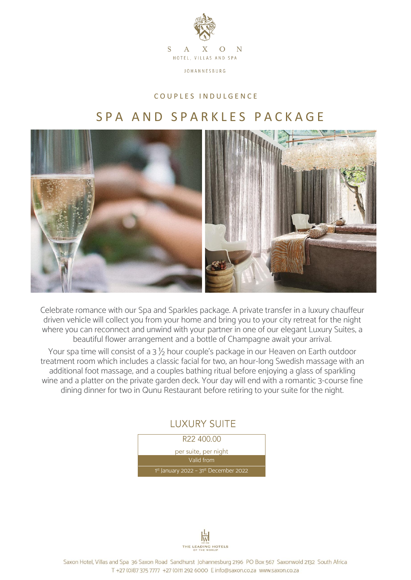

## C O U P L E S I N D U L G E N C E

## S P A A N D S P A R K L E S P A C K A G E



Celebrate romance with our Spa and Sparkles package. A private transfer in a luxury chauffeur driven vehicle will collect you from your home and bring you to your city retreat for the night where you can reconnect and unwind with your partner in one of our elegant Luxury Suites, a beautiful flower arrangement and a bottle of Champagne await your arrival.

Your spa time will consist of a  $3\frac{1}{2}$  hour couple's package in our Heaven on Earth outdoor treatment room which includes a classic facial for two, an hour-long Swedish massage with an additional foot massage, and a couples bathing ritual before enjoying a glass of sparkling wine and a platter on the private garden deck. Your day will end with a romantic 3-course fine dining dinner for two in Qunu Restaurant before retiring to your suite for the night.